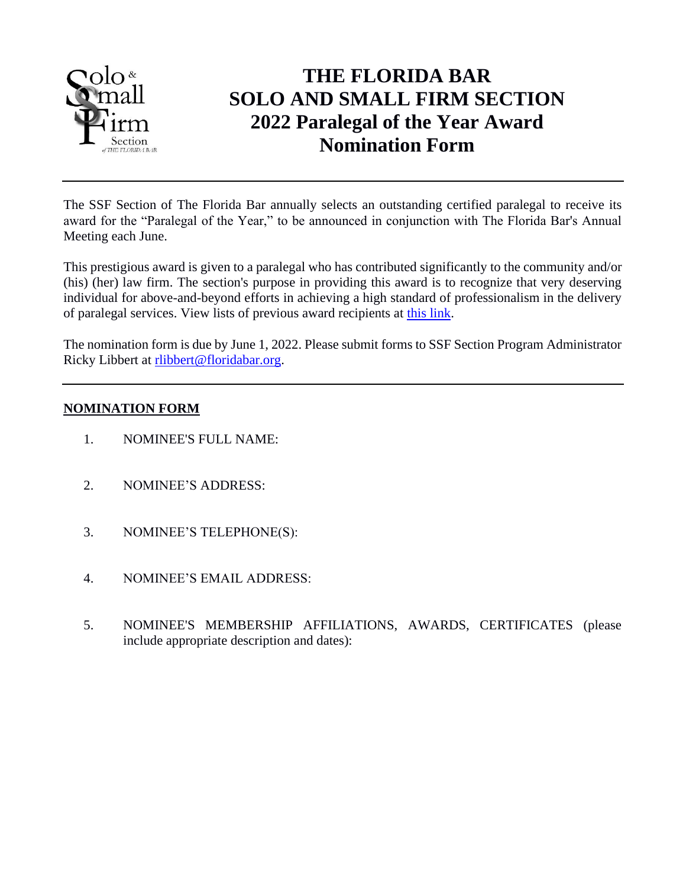

## **THE FLORIDA BAR SOLO AND SMALL FIRM SECTION 2022 Paralegal of the Year Award Nomination Form**

The SSF Section of The Florida Bar annually selects an outstanding certified paralegal to receive its award for the "Paralegal of the Year," to be announced in conjunction with The Florida Bar's Annual Meeting each June.

This prestigious award is given to a paralegal who has contributed significantly to the community and/or (his) (her) law firm. The section's purpose in providing this award is to recognize that very deserving individual for above-and-beyond efforts in achieving a high standard of professionalism in the delivery of paralegal services. View lists of previous award recipients at [this link.](http://www.flsolosmallfirm.org/awards-and-history.php)

The nomination form is due by June 1, 2022. Please submit forms to SSF Section Program Administrator Ricky Libbert at [rlibbert@floridabar.org.](mailto:rlibbert@floridabar.org)

## **NOMINATION FORM**

- 1. NOMINEE'S FULL NAME:
- 2. NOMINEE'S ADDRESS:
- 3. NOMINEE'S TELEPHONE(S):
- 4. NOMINEE'S EMAIL ADDRESS:
- 5. NOMINEE'S MEMBERSHIP AFFILIATIONS, AWARDS, CERTIFICATES (please include appropriate description and dates):